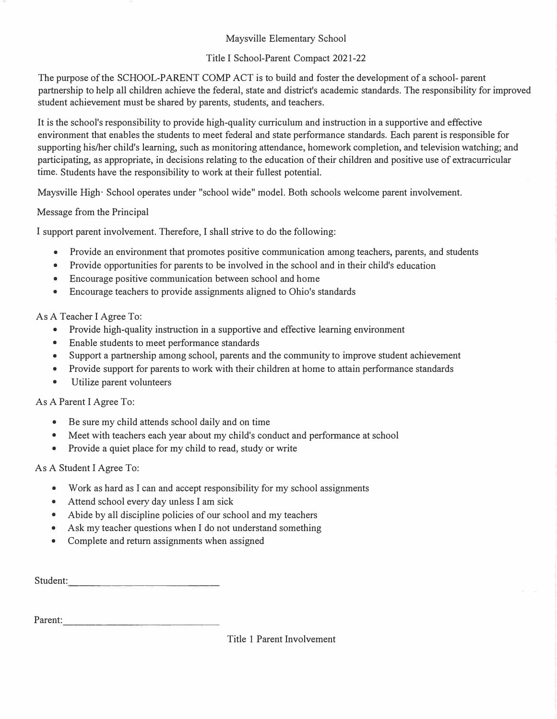### Maysville Elementary School

# Title I School-Parent Compact 2021-22

The purpose of the SCHOOL-PARENT COMP ACT is to build and foster the development of a school- parent partnership to help all children achieve the federal, state and district's academic standards. The responsibility for improved student achievement must be shared by parents, students, and teachers.

It is the school's responsibility to provide high-quality curriculum and instruction in a supportive and effective environment that enables the students to meet federal and state performance standards. Each parent is responsible for supporting his/her child's learning, such as monitoring attendance, homework completion, and television watching; and participating, as appropriate, in decisions relating to the education of their children and positive use of extracurricular time. Students have the responsibility to work at their fullest potential.

Maysville High· School operates under "school wide" model. Both schools welcome parent involvement.

Message from the Principal

I support parent involvement. Therefore, I shall strive to do the following:

- Provide an environment that promotes positive communication among teachers, parents, and students
- Provide opportunities for parents to be involved in the school and in their child's education
- Encourage positive communication between school and home
- Encourage teachers to provide assignments aligned to Ohio's standards

# As A Teacher I Agree To:

- Provide high-quality instruction in a supportive and effective learning environment
- Enable students to meet performance standards
- Support a partnership among school, parents and the community to improve student achievement
- Provide support for parents to work with their children at home to attain performance standards
- Utilize parent volunteers

#### As A Parent I Agree To:

- Be sure my child attends school daily and on time
- Meet with teachers each year about my child's conduct and performance at school
- Provide a quiet place for my child to read, study or write

#### As A Student I Agree To:

- Work as hard as I can and accept responsibility for my school assignments
- Attend school every day unless I am sick
- Abide by all discipline policies of our school and my teachers
- Ask my teacher questions when I do not understand something
- Complete and return assignments when assigned

Student: --------------

Parent:  $\blacksquare$ 

# Title 1 Parent Involvement